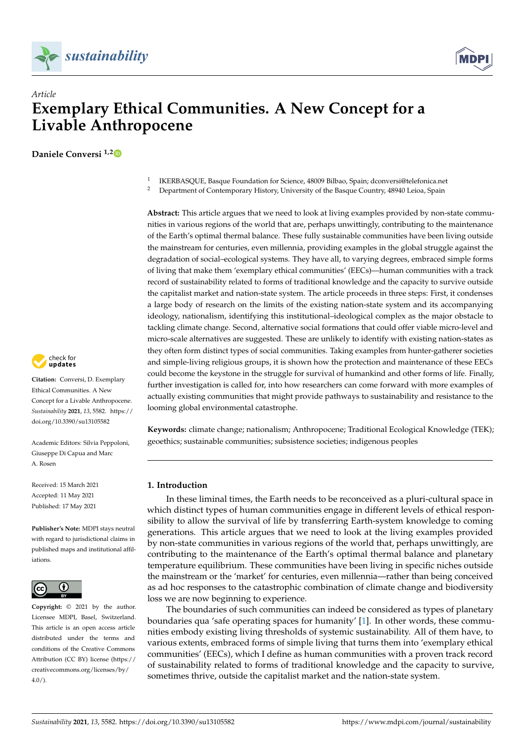



# *Article* **Exemplary Ethical Communities. A New Concept for a Livable Anthropocene**

**Daniele Conversi 1,[2](https://orcid.org/0000-0002-6618-2738)**



**Citation:** Conversi, D. Exemplary Ethical Communities. A New Concept for a Livable Anthropocene. *Sustainability* **2021**, *13*, 5582. [https://](https://doi.org/10.3390/su13105582) [doi.org/10.3390/su13105582](https://doi.org/10.3390/su13105582)

Academic Editors: Silvia Peppoloni, Giuseppe Di Capua and Marc A. Rosen

Received: 15 March 2021 Accepted: 11 May 2021 Published: 17 May 2021

**Publisher's Note:** MDPI stays neutral with regard to jurisdictional claims in published maps and institutional affiliations.



**Copyright:** © 2021 by the author. Licensee MDPI, Basel, Switzerland. This article is an open access article distributed under the terms and conditions of the Creative Commons Attribution (CC BY) license (https:/[/](https://creativecommons.org/licenses/by/4.0/) [creativecommons.org/licenses/by/](https://creativecommons.org/licenses/by/4.0/)  $4.0/$ ).

1 IKERBASQUE, Basque Foundation for Science, 48009 Bilbao, Spain; dconversi@telefonica.net

<sup>2</sup> Department of Contemporary History, University of the Basque Country, 48940 Leioa, Spain

**Abstract:** This article argues that we need to look at living examples provided by non-state communities in various regions of the world that are, perhaps unwittingly, contributing to the maintenance of the Earth's optimal thermal balance. These fully sustainable communities have been living outside the mainstream for centuries, even millennia, providing examples in the global struggle against the degradation of social–ecological systems. They have all, to varying degrees, embraced simple forms of living that make them 'exemplary ethical communities' (EECs)—human communities with a track record of sustainability related to forms of traditional knowledge and the capacity to survive outside the capitalist market and nation-state system. The article proceeds in three steps: First, it condenses a large body of research on the limits of the existing nation-state system and its accompanying ideology, nationalism, identifying this institutional–ideological complex as the major obstacle to tackling climate change. Second, alternative social formations that could offer viable micro-level and micro-scale alternatives are suggested. These are unlikely to identify with existing nation-states as they often form distinct types of social communities. Taking examples from hunter-gatherer societies and simple-living religious groups, it is shown how the protection and maintenance of these EECs could become the keystone in the struggle for survival of humankind and other forms of life. Finally, further investigation is called for, into how researchers can come forward with more examples of actually existing communities that might provide pathways to sustainability and resistance to the looming global environmental catastrophe.

**Keywords:** climate change; nationalism; Anthropocene; Traditional Ecological Knowledge (TEK); geoethics; sustainable communities; subsistence societies; indigenous peoples

## **1. Introduction**

In these liminal times, the Earth needs to be reconceived as a pluri-cultural space in which distinct types of human communities engage in different levels of ethical responsibility to allow the survival of life by transferring Earth-system knowledge to coming generations. This article argues that we need to look at the living examples provided by non-state communities in various regions of the world that, perhaps unwittingly, are contributing to the maintenance of the Earth's optimal thermal balance and planetary temperature equilibrium. These communities have been living in specific niches outside the mainstream or the 'market' for centuries, even millennia—rather than being conceived as ad hoc responses to the catastrophic combination of climate change and biodiversity loss we are now beginning to experience.

The boundaries of such communities can indeed be considered as types of planetary boundaries qua 'safe operating spaces for humanity' [\[1\]](#page-12-0). In other words, these communities embody existing living thresholds of systemic sustainability. All of them have, to various extents, embraced forms of simple living that turns them into 'exemplary ethical communities' (EECs), which I define as human communities with a proven track record of sustainability related to forms of traditional knowledge and the capacity to survive, sometimes thrive, outside the capitalist market and the nation-state system.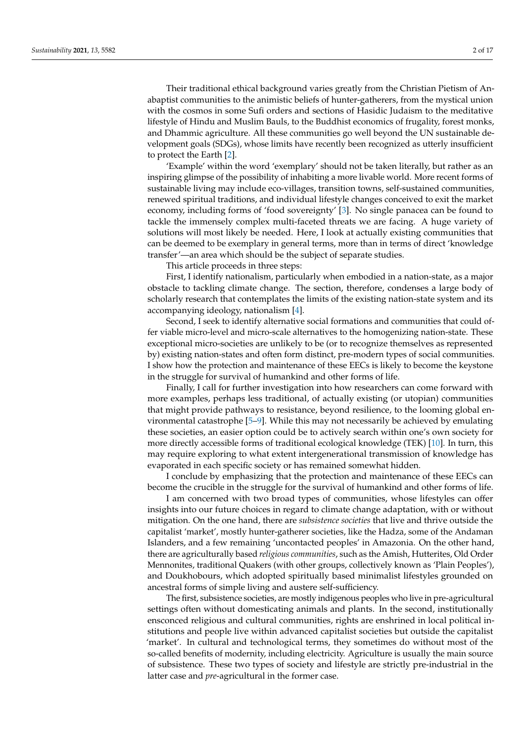Their traditional ethical background varies greatly from the Christian Pietism of Anabaptist communities to the animistic beliefs of hunter-gatherers, from the mystical union with the cosmos in some Sufi orders and sections of Hasidic Judaism to the meditative lifestyle of Hindu and Muslim Bauls, to the Buddhist economics of frugality, forest monks, and Dhammic agriculture. All these communities go well beyond the UN sustainable development goals (SDGs), whose limits have recently been recognized as utterly insufficient to protect the Earth [\[2\]](#page-12-1).

'Example' within the word 'exemplary' should not be taken literally, but rather as an inspiring glimpse of the possibility of inhabiting a more livable world. More recent forms of sustainable living may include eco-villages, transition towns, self-sustained communities, renewed spiritual traditions, and individual lifestyle changes conceived to exit the market economy, including forms of 'food sovereignty' [\[3\]](#page-12-2). No single panacea can be found to tackle the immensely complex multi-faceted threats we are facing. A huge variety of solutions will most likely be needed. Here, I look at actually existing communities that can be deemed to be exemplary in general terms, more than in terms of direct 'knowledge transfer'—an area which should be the subject of separate studies.

This article proceeds in three steps:

First, I identify nationalism, particularly when embodied in a nation-state, as a major obstacle to tackling climate change. The section, therefore, condenses a large body of scholarly research that contemplates the limits of the existing nation-state system and its accompanying ideology, nationalism [\[4\]](#page-12-3).

Second, I seek to identify alternative social formations and communities that could offer viable micro-level and micro-scale alternatives to the homogenizing nation-state. These exceptional micro-societies are unlikely to be (or to recognize themselves as represented by) existing nation-states and often form distinct, pre-modern types of social communities. I show how the protection and maintenance of these EECs is likely to become the keystone in the struggle for survival of humankind and other forms of life.

Finally, I call for further investigation into how researchers can come forward with more examples, perhaps less traditional, of actually existing (or utopian) communities that might provide pathways to resistance, beyond resilience, to the looming global environmental catastrophe [\[5–](#page-13-0)[9\]](#page-13-1). While this may not necessarily be achieved by emulating these societies, an easier option could be to actively search within one's own society for more directly accessible forms of traditional ecological knowledge (TEK) [\[10\]](#page-13-2). In turn, this may require exploring to what extent intergenerational transmission of knowledge has evaporated in each specific society or has remained somewhat hidden.

I conclude by emphasizing that the protection and maintenance of these EECs can become the crucible in the struggle for the survival of humankind and other forms of life.

I am concerned with two broad types of communities, whose lifestyles can offer insights into our future choices in regard to climate change adaptation, with or without mitigation. On the one hand, there are *subsistence societies* that live and thrive outside the capitalist 'market', mostly hunter-gatherer societies, like the Hadza, some of the Andaman Islanders, and a few remaining 'uncontacted peoples' in Amazonia. On the other hand, there are agriculturally based *religious communities*, such as the Amish, Hutterites, Old Order Mennonites, traditional Quakers (with other groups, collectively known as 'Plain Peoples'), and Doukhobours, which adopted spiritually based minimalist lifestyles grounded on ancestral forms of simple living and austere self-sufficiency.

The first, subsistence societies, are mostly indigenous peoples who live in pre-agricultural settings often without domesticating animals and plants. In the second, institutionally ensconced religious and cultural communities, rights are enshrined in local political institutions and people live within advanced capitalist societies but outside the capitalist 'market'. In cultural and technological terms, they sometimes do without most of the so-called benefits of modernity, including electricity. Agriculture is usually the main source of subsistence. These two types of society and lifestyle are strictly pre-industrial in the latter case and *pre*-agricultural in the former case.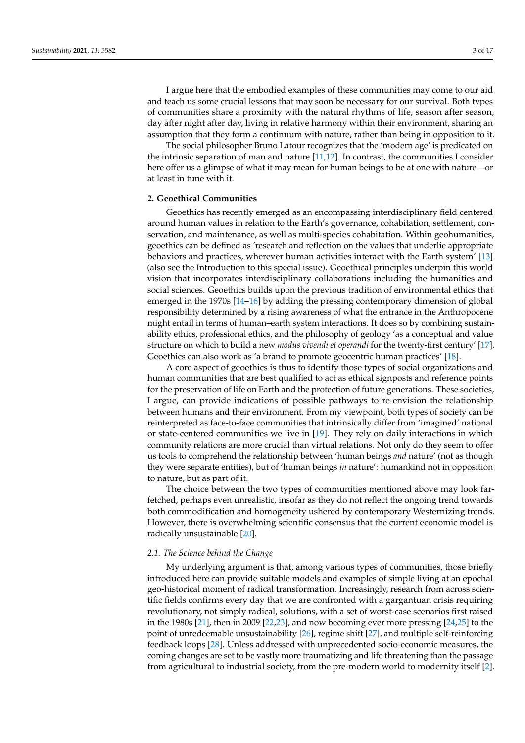I argue here that the embodied examples of these communities may come to our aid and teach us some crucial lessons that may soon be necessary for our survival. Both types of communities share a proximity with the natural rhythms of life, season after season, day after night after day, living in relative harmony within their environment, sharing an assumption that they form a continuum with nature, rather than being in opposition to it.

The social philosopher Bruno Latour recognizes that the 'modern age' is predicated on the intrinsic separation of man and nature [\[11](#page-13-3)[,12\]](#page-13-4). In contrast, the communities I consider here offer us a glimpse of what it may mean for human beings to be at one with nature—or at least in tune with it.

## **2. Geoethical Communities**

Geoethics has recently emerged as an encompassing interdisciplinary field centered around human values in relation to the Earth's governance, cohabitation, settlement, conservation, and maintenance, as well as multi-species cohabitation. Within geohumanities, geoethics can be defined as 'research and reflection on the values that underlie appropriate behaviors and practices, wherever human activities interact with the Earth system' [\[13\]](#page-13-5) (also see the Introduction to this special issue). Geoethical principles underpin this world vision that incorporates interdisciplinary collaborations including the humanities and social sciences. Geoethics builds upon the previous tradition of environmental ethics that emerged in the 1970s [\[14–](#page-13-6)[16\]](#page-13-7) by adding the pressing contemporary dimension of global responsibility determined by a rising awareness of what the entrance in the Anthropocene might entail in terms of human–earth system interactions. It does so by combining sustainability ethics, professional ethics, and the philosophy of geology 'as a conceptual and value structure on which to build a new *modus vivendi et operandi* for the twenty-first century' [\[17\]](#page-13-8). Geoethics can also work as 'a brand to promote geocentric human practices' [\[18\]](#page-13-9).

A core aspect of geoethics is thus to identify those types of social organizations and human communities that are best qualified to act as ethical signposts and reference points for the preservation of life on Earth and the protection of future generations. These societies, I argue, can provide indications of possible pathways to re-envision the relationship between humans and their environment. From my viewpoint, both types of society can be reinterpreted as face-to-face communities that intrinsically differ from 'imagined' national or state-centered communities we live in [\[19\]](#page-13-10). They rely on daily interactions in which community relations are more crucial than virtual relations. Not only do they seem to offer us tools to comprehend the relationship between 'human beings *and* nature' (not as though they were separate entities), but of 'human beings *in* nature': humankind not in opposition to nature, but as part of it.

The choice between the two types of communities mentioned above may look farfetched, perhaps even unrealistic, insofar as they do not reflect the ongoing trend towards both commodification and homogeneity ushered by contemporary Westernizing trends. However, there is overwhelming scientific consensus that the current economic model is radically unsustainable [\[20\]](#page-13-11).

#### *2.1. The Science behind the Change*

My underlying argument is that, among various types of communities, those briefly introduced here can provide suitable models and examples of simple living at an epochal geo-historical moment of radical transformation. Increasingly, research from across scientific fields confirms every day that we are confronted with a gargantuan crisis requiring revolutionary, not simply radical, solutions, with a set of worst-case scenarios first raised in the 1980s [\[21\]](#page-13-12), then in 2009 [\[22,](#page-13-13)[23\]](#page-13-14), and now becoming ever more pressing [\[24](#page-13-15)[,25\]](#page-13-16) to the point of unredeemable unsustainability [\[26\]](#page-13-17), regime shift [\[27\]](#page-13-18), and multiple self-reinforcing feedback loops [\[28\]](#page-13-19). Unless addressed with unprecedented socio-economic measures, the coming changes are set to be vastly more traumatizing and life threatening than the passage from agricultural to industrial society, from the pre-modern world to modernity itself [\[2\]](#page-12-1).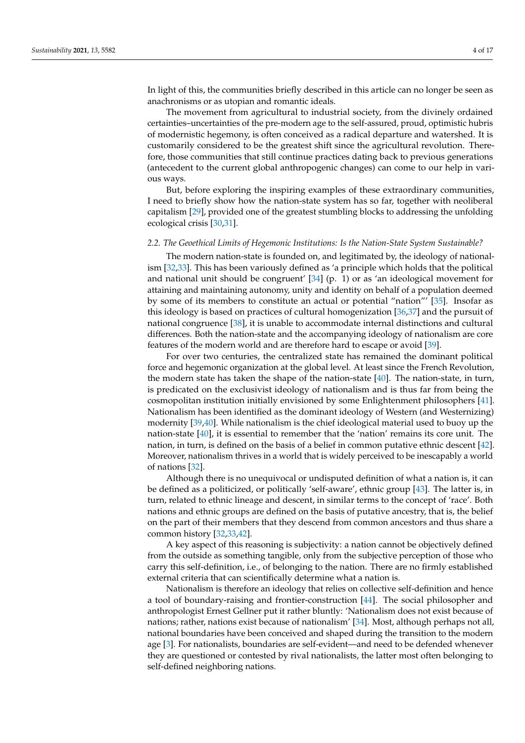In light of this, the communities briefly described in this article can no longer be seen as anachronisms or as utopian and romantic ideals.

The movement from agricultural to industrial society, from the divinely ordained certainties–uncertainties of the pre-modern age to the self-assured, proud, optimistic hubris of modernistic hegemony, is often conceived as a radical departure and watershed. It is customarily considered to be the greatest shift since the agricultural revolution. Therefore, those communities that still continue practices dating back to previous generations (antecedent to the current global anthropogenic changes) can come to our help in various ways.

But, before exploring the inspiring examples of these extraordinary communities, I need to briefly show how the nation-state system has so far, together with neoliberal capitalism [\[29\]](#page-13-20), provided one of the greatest stumbling blocks to addressing the unfolding ecological crisis [\[30](#page-13-21)[,31\]](#page-13-22).

#### *2.2. The Geoethical Limits of Hegemonic Institutions: Is the Nation-State System Sustainable?*

The modern nation-state is founded on, and legitimated by, the ideology of nationalism [\[32,](#page-13-23)[33\]](#page-13-24). This has been variously defined as 'a principle which holds that the political and national unit should be congruent'  $[34]$  (p. 1) or as 'an ideological movement for attaining and maintaining autonomy, unity and identity on behalf of a population deemed by some of its members to constitute an actual or potential "nation"' [\[35\]](#page-13-26). Insofar as this ideology is based on practices of cultural homogenization [\[36](#page-13-27)[,37\]](#page-13-28) and the pursuit of national congruence [\[38\]](#page-13-29), it is unable to accommodate internal distinctions and cultural differences. Both the nation-state and the accompanying ideology of nationalism are core features of the modern world and are therefore hard to escape or avoid [\[39\]](#page-13-30).

For over two centuries, the centralized state has remained the dominant political force and hegemonic organization at the global level. At least since the French Revolution, the modern state has taken the shape of the nation-state [\[40\]](#page-13-31). The nation-state, in turn, is predicated on the exclusivist ideology of nationalism and is thus far from being the cosmopolitan institution initially envisioned by some Enlightenment philosophers [\[41\]](#page-13-32). Nationalism has been identified as the dominant ideology of Western (and Westernizing) modernity [\[39,](#page-13-30)[40\]](#page-13-31). While nationalism is the chief ideological material used to buoy up the nation-state [\[40\]](#page-13-31), it is essential to remember that the 'nation' remains its core unit. The nation, in turn, is defined on the basis of a belief in common putative ethnic descent [\[42\]](#page-13-33). Moreover, nationalism thrives in a world that is widely perceived to be inescapably a world of nations [\[32\]](#page-13-23).

Although there is no unequivocal or undisputed definition of what a nation is, it can be defined as a politicized, or politically 'self-aware', ethnic group [\[43\]](#page-14-0). The latter is, in turn, related to ethnic lineage and descent, in similar terms to the concept of 'race'. Both nations and ethnic groups are defined on the basis of putative ancestry, that is, the belief on the part of their members that they descend from common ancestors and thus share a common history [\[32](#page-13-23)[,33](#page-13-24)[,42\]](#page-13-33).

A key aspect of this reasoning is subjectivity: a nation cannot be objectively defined from the outside as something tangible, only from the subjective perception of those who carry this self-definition, i.e., of belonging to the nation. There are no firmly established external criteria that can scientifically determine what a nation is.

Nationalism is therefore an ideology that relies on collective self-definition and hence a tool of boundary-raising and frontier-construction [\[44\]](#page-14-1). The social philosopher and anthropologist Ernest Gellner put it rather bluntly: 'Nationalism does not exist because of nations; rather, nations exist because of nationalism' [\[34\]](#page-13-25). Most, although perhaps not all, national boundaries have been conceived and shaped during the transition to the modern age [\[3\]](#page-12-2). For nationalists, boundaries are self-evident—and need to be defended whenever they are questioned or contested by rival nationalists, the latter most often belonging to self-defined neighboring nations.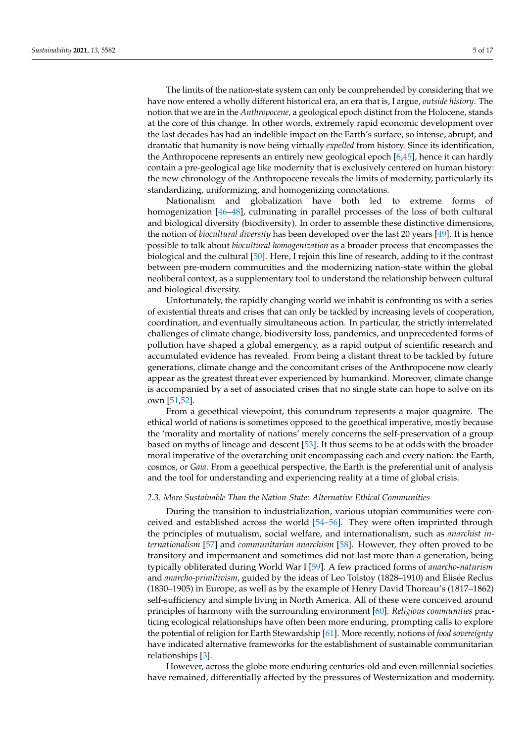The limits of the nation-state system can only be comprehended by considering that we have now entered a wholly different historical era, an era that is, I argue, *outside history*. The notion that we are in the *Anthropocene*, a geological epoch distinct from the Holocene, stands at the core of this change. In other words, extremely rapid economic development over the last decades has had an indelible impact on the Earth's surface, so intense, abrupt, and dramatic that humanity is now being virtually *expelled* from history. Since its identification, the Anthropocene represents an entirely new geological epoch [\[6,](#page-13-34)[45\]](#page-14-2), hence it can hardly contain a pre-geological age like modernity that is exclusively centered on human history: the new chronology of the Anthropocene reveals the limits of modernity, particularly its standardizing, uniformizing, and homogenizing connotations.

Nationalism and globalization have both led to extreme forms of homogenization [\[46](#page-14-3)[–48\]](#page-14-4), culminating in parallel processes of the loss of both cultural and biological diversity (biodiversity). In order to assemble these distinctive dimensions, the notion of *biocultural diversity* has been developed over the last 20 years [\[49\]](#page-14-5). It is hence possible to talk about *biocultural homogenization* as a broader process that encompasses the biological and the cultural [\[50\]](#page-14-6). Here, I rejoin this line of research, adding to it the contrast between pre-modern communities and the modernizing nation-state within the global neoliberal context, as a supplementary tool to understand the relationship between cultural and biological diversity.

Unfortunately, the rapidly changing world we inhabit is confronting us with a series of existential threats and crises that can only be tackled by increasing levels of cooperation, coordination, and eventually simultaneous action. In particular, the strictly interrelated challenges of climate change, biodiversity loss, pandemics, and unprecedented forms of pollution have shaped a global emergency, as a rapid output of scientific research and accumulated evidence has revealed. From being a distant threat to be tackled by future generations, climate change and the concomitant crises of the Anthropocene now clearly appear as the greatest threat ever experienced by humankind. Moreover, climate change is accompanied by a set of associated crises that no single state can hope to solve on its own [\[51,](#page-14-7)[52\]](#page-14-8).

From a geoethical viewpoint, this conundrum represents a major quagmire. The ethical world of nations is sometimes opposed to the geoethical imperative, mostly because the 'morality and mortality of nations' merely concerns the self-preservation of a group based on myths of lineage and descent [\[53\]](#page-14-9). It thus seems to be at odds with the broader moral imperative of the overarching unit encompassing each and every nation: the Earth, cosmos, or *Gaia*. From a geoethical perspective, the Earth is the preferential unit of analysis and the tool for understanding and experiencing reality at a time of global crisis.

## *2.3. More Sustainable Than the Nation-State: Alternative Ethical Communities*

During the transition to industrialization, various utopian communities were conceived and established across the world [\[54](#page-14-10)[–56\]](#page-14-11). They were often imprinted through the principles of mutualism, social welfare, and internationalism, such as *anarchist internationalism* [\[57\]](#page-14-12) and *communitarian anarchism* [\[58\]](#page-14-13). However, they often proved to be transitory and impermanent and sometimes did not last more than a generation, being typically obliterated during World War I [\[59\]](#page-14-14). A few practiced forms of *anarcho-naturism* and *anarcho-primitivism*, guided by the ideas of Leo Tolstoy (1828–1910) and Élisée Reclus (1830–1905) in Europe, as well as by the example of Henry David Thoreau's (1817–1862) self-sufficiency and simple living in North America. All of these were conceived around principles of harmony with the surrounding environment [\[60\]](#page-14-15). *Religious communities* practicing ecological relationships have often been more enduring, prompting calls to explore the potential of religion for Earth Stewardship [\[61\]](#page-14-16). More recently, notions of *food sovereignty* have indicated alternative frameworks for the establishment of sustainable communitarian relationships [\[3\]](#page-12-2).

However, across the globe more enduring centuries-old and even millennial societies have remained, differentially affected by the pressures of Westernization and modernity.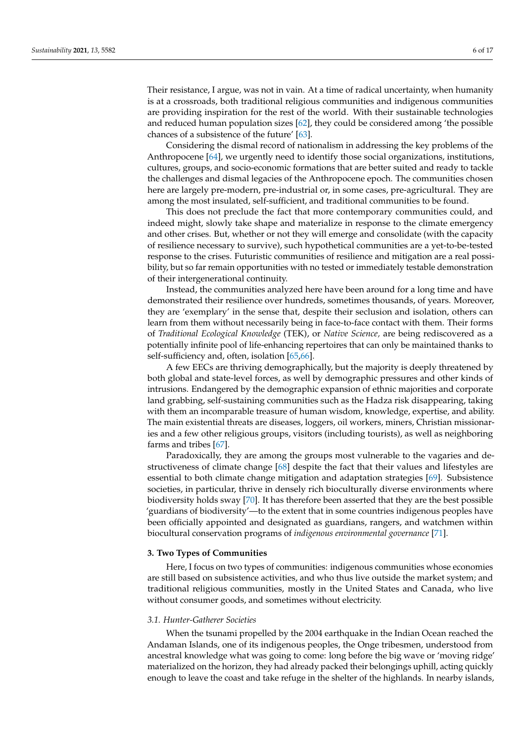Their resistance, I argue, was not in vain. At a time of radical uncertainty, when humanity is at a crossroads, both traditional religious communities and indigenous communities are providing inspiration for the rest of the world. With their sustainable technologies and reduced human population sizes [\[62\]](#page-14-17), they could be considered among 'the possible chances of a subsistence of the future' [\[63\]](#page-14-18).

Considering the dismal record of nationalism in addressing the key problems of the Anthropocene [\[64\]](#page-14-19), we urgently need to identify those social organizations, institutions, cultures, groups, and socio-economic formations that are better suited and ready to tackle the challenges and dismal legacies of the Anthropocene epoch. The communities chosen here are largely pre-modern, pre-industrial or, in some cases, pre-agricultural. They are among the most insulated, self-sufficient, and traditional communities to be found.

This does not preclude the fact that more contemporary communities could, and indeed might, slowly take shape and materialize in response to the climate emergency and other crises. But, whether or not they will emerge and consolidate (with the capacity of resilience necessary to survive), such hypothetical communities are a yet-to-be-tested response to the crises. Futuristic communities of resilience and mitigation are a real possibility, but so far remain opportunities with no tested or immediately testable demonstration of their intergenerational continuity.

Instead, the communities analyzed here have been around for a long time and have demonstrated their resilience over hundreds, sometimes thousands, of years. Moreover, they are 'exemplary' in the sense that, despite their seclusion and isolation, others can learn from them without necessarily being in face-to-face contact with them. Their forms of *Traditional Ecological Knowledge* (TEK), or *Native Science,* are being rediscovered as a potentially infinite pool of life-enhancing repertoires that can only be maintained thanks to self-sufficiency and, often, isolation [\[65,](#page-14-20)[66\]](#page-14-21).

A few EECs are thriving demographically, but the majority is deeply threatened by both global and state-level forces, as well by demographic pressures and other kinds of intrusions. Endangered by the demographic expansion of ethnic majorities and corporate land grabbing, self-sustaining communities such as the Hadza risk disappearing, taking with them an incomparable treasure of human wisdom, knowledge, expertise, and ability. The main existential threats are diseases, loggers, oil workers, miners, Christian missionaries and a few other religious groups, visitors (including tourists), as well as neighboring farms and tribes [\[67\]](#page-14-22).

Paradoxically, they are among the groups most vulnerable to the vagaries and destructiveness of climate change [\[68\]](#page-14-23) despite the fact that their values and lifestyles are essential to both climate change mitigation and adaptation strategies [\[69\]](#page-14-24). Subsistence societies, in particular, thrive in densely rich bioculturally diverse environments where biodiversity holds sway [\[70\]](#page-14-25). It has therefore been asserted that they are the best possible 'guardians of biodiversity'—to the extent that in some countries indigenous peoples have been officially appointed and designated as guardians, rangers, and watchmen within biocultural conservation programs of *indigenous environmental governance* [\[71\]](#page-14-26).

#### **3. Two Types of Communities**

Here, I focus on two types of communities: indigenous communities whose economies are still based on subsistence activities, and who thus live outside the market system; and traditional religious communities, mostly in the United States and Canada, who live without consumer goods, and sometimes without electricity.

#### *3.1. Hunter-Gatherer Societies*

When the tsunami propelled by the 2004 earthquake in the Indian Ocean reached the Andaman Islands, one of its indigenous peoples, the Onge tribesmen, understood from ancestral knowledge what was going to come: long before the big wave or 'moving ridge' materialized on the horizon, they had already packed their belongings uphill, acting quickly enough to leave the coast and take refuge in the shelter of the highlands. In nearby islands,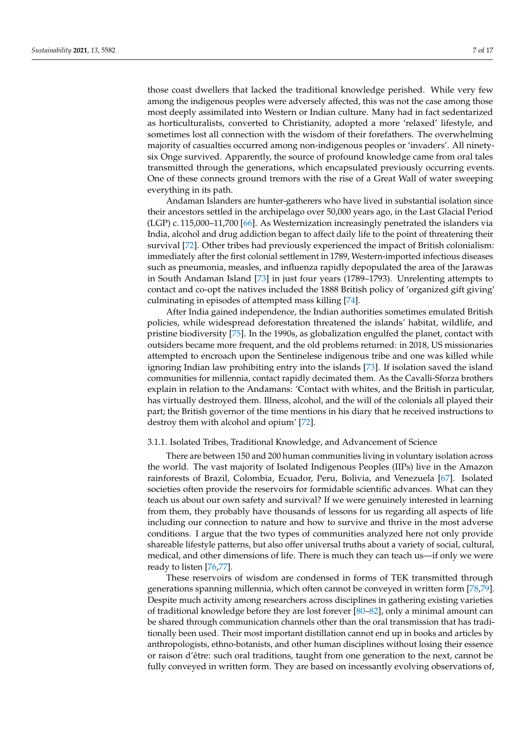those coast dwellers that lacked the traditional knowledge perished. While very few among the indigenous peoples were adversely affected, this was not the case among those most deeply assimilated into Western or Indian culture. Many had in fact sedentarized as horticulturalists, converted to Christianity, adopted a more 'relaxed' lifestyle, and sometimes lost all connection with the wisdom of their forefathers. The overwhelming majority of casualties occurred among non-indigenous peoples or 'invaders'. All ninetysix Onge survived. Apparently, the source of profound knowledge came from oral tales transmitted through the generations, which encapsulated previously occurring events. One of these connects ground tremors with the rise of a Great Wall of water sweeping everything in its path.

Andaman Islanders are hunter-gatherers who have lived in substantial isolation since their ancestors settled in the archipelago over 50,000 years ago, in the Last Glacial Period (LGP) c. 115,000–11,700 [\[66\]](#page-14-21). As Westernization increasingly penetrated the islanders via India, alcohol and drug addiction began to affect daily life to the point of threatening their survival [\[72\]](#page-14-27). Other tribes had previously experienced the impact of British colonialism: immediately after the first colonial settlement in 1789, Western-imported infectious diseases such as pneumonia, measles, and influenza rapidly depopulated the area of the Jarawas in South Andaman Island [\[73\]](#page-14-28) in just four years (1789–1793). Unrelenting attempts to contact and co-opt the natives included the 1888 British policy of 'organized gift giving' culminating in episodes of attempted mass killing [\[74\]](#page-14-29).

After India gained independence, the Indian authorities sometimes emulated British policies, while widespread deforestation threatened the islands' habitat, wildlife, and pristine biodiversity [\[75\]](#page-14-30). In the 1990s, as globalization engulfed the planet, contact with outsiders became more frequent, and the old problems returned: in 2018, US missionaries attempted to encroach upon the Sentinelese indigenous tribe and one was killed while ignoring Indian law prohibiting entry into the islands [\[73\]](#page-14-28). If isolation saved the island communities for millennia, contact rapidly decimated them. As the Cavalli-Sforza brothers explain in relation to the Andamans: 'Contact with whites, and the British in particular, has virtually destroyed them. Illness, alcohol, and the will of the colonials all played their part; the British governor of the time mentions in his diary that he received instructions to destroy them with alcohol and opium' [\[72\]](#page-14-27).

#### 3.1.1. Isolated Tribes, Traditional Knowledge, and Advancement of Science

There are between 150 and 200 human communities living in voluntary isolation across the world. The vast majority of Isolated Indigenous Peoples (IIPs) live in the Amazon rainforests of Brazil, Colombia, Ecuador, Peru, Bolivia, and Venezuela [\[67\]](#page-14-22). Isolated societies often provide the reservoirs for formidable scientific advances. What can they teach us about our own safety and survival? If we were genuinely interested in learning from them, they probably have thousands of lessons for us regarding all aspects of life including our connection to nature and how to survive and thrive in the most adverse conditions. I argue that the two types of communities analyzed here not only provide shareable lifestyle patterns, but also offer universal truths about a variety of social, cultural, medical, and other dimensions of life. There is much they can teach us—if only we were ready to listen [\[76,](#page-14-31)[77\]](#page-15-0).

These reservoirs of wisdom are condensed in forms of TEK transmitted through generations spanning millennia, which often cannot be conveyed in written form [\[78,](#page-15-1)[79\]](#page-15-2). Despite much activity among researchers across disciplines in gathering existing varieties of traditional knowledge before they are lost forever [\[80](#page-15-3)[–82\]](#page-15-4), only a minimal amount can be shared through communication channels other than the oral transmission that has traditionally been used. Their most important distillation cannot end up in books and articles by anthropologists, ethno-botanists, and other human disciplines without losing their essence or raison d'être: such oral traditions, taught from one generation to the next, cannot be fully conveyed in written form. They are based on incessantly evolving observations of,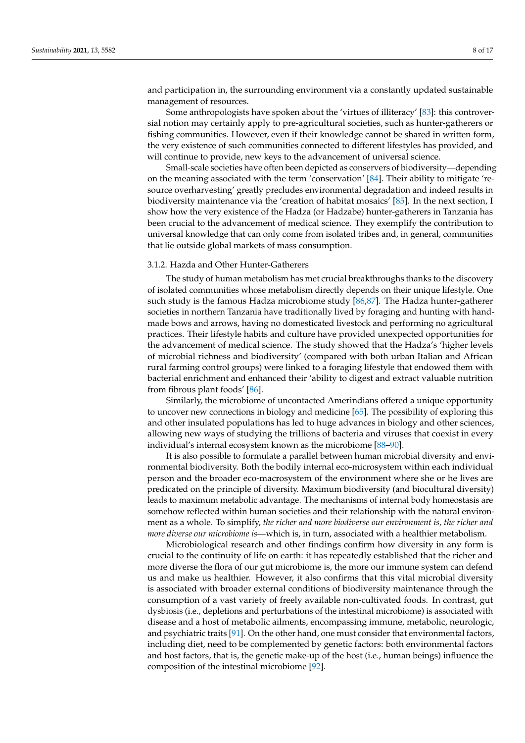and participation in, the surrounding environment via a constantly updated sustainable management of resources.

Some anthropologists have spoken about the 'virtues of illiteracy' [\[83\]](#page-15-5): this controversial notion may certainly apply to pre-agricultural societies, such as hunter-gatherers or fishing communities. However, even if their knowledge cannot be shared in written form, the very existence of such communities connected to different lifestyles has provided, and will continue to provide, new keys to the advancement of universal science.

Small-scale societies have often been depicted as conservers of biodiversity—depending on the meaning associated with the term 'conservation' [\[84\]](#page-15-6). Their ability to mitigate 'resource overharvesting' greatly precludes environmental degradation and indeed results in biodiversity maintenance via the 'creation of habitat mosaics' [\[85\]](#page-15-7). In the next section, I show how the very existence of the Hadza (or Hadzabe) hunter-gatherers in Tanzania has been crucial to the advancement of medical science. They exemplify the contribution to universal knowledge that can only come from isolated tribes and, in general, communities that lie outside global markets of mass consumption.

## 3.1.2. Hazda and Other Hunter-Gatherers

The study of human metabolism has met crucial breakthroughs thanks to the discovery of isolated communities whose metabolism directly depends on their unique lifestyle. One such study is the famous Hadza microbiome study [\[86,](#page-15-8)[87\]](#page-15-9). The Hadza hunter-gatherer societies in northern Tanzania have traditionally lived by foraging and hunting with handmade bows and arrows, having no domesticated livestock and performing no agricultural practices. Their lifestyle habits and culture have provided unexpected opportunities for the advancement of medical science. The study showed that the Hadza's 'higher levels of microbial richness and biodiversity' (compared with both urban Italian and African rural farming control groups) were linked to a foraging lifestyle that endowed them with bacterial enrichment and enhanced their 'ability to digest and extract valuable nutrition from fibrous plant foods' [\[86\]](#page-15-8).

Similarly, the microbiome of uncontacted Amerindians offered a unique opportunity to uncover new connections in biology and medicine [\[65\]](#page-14-20). The possibility of exploring this and other insulated populations has led to huge advances in biology and other sciences, allowing new ways of studying the trillions of bacteria and viruses that coexist in every individual's internal ecosystem known as the microbiome [\[88–](#page-15-10)[90\]](#page-15-11).

It is also possible to formulate a parallel between human microbial diversity and environmental biodiversity. Both the bodily internal eco-microsystem within each individual person and the broader eco-macrosystem of the environment where she or he lives are predicated on the principle of diversity. Maximum biodiversity (and biocultural diversity) leads to maximum metabolic advantage. The mechanisms of internal body homeostasis are somehow reflected within human societies and their relationship with the natural environment as a whole. To simplify, *the richer and more biodiverse our environment is, the richer and more diverse our microbiome is*—which is, in turn, associated with a healthier metabolism.

Microbiological research and other findings confirm how diversity in any form is crucial to the continuity of life on earth: it has repeatedly established that the richer and more diverse the flora of our gut microbiome is, the more our immune system can defend us and make us healthier. However, it also confirms that this vital microbial diversity is associated with broader external conditions of biodiversity maintenance through the consumption of a vast variety of freely available non-cultivated foods. In contrast, gut dysbiosis (i.e., depletions and perturbations of the intestinal microbiome) is associated with disease and a host of metabolic ailments, encompassing immune, metabolic, neurologic, and psychiatric traits [\[91\]](#page-15-12). On the other hand, one must consider that environmental factors, including diet, need to be complemented by genetic factors: both environmental factors and host factors, that is, the genetic make-up of the host (i.e., human beings) influence the composition of the intestinal microbiome [\[92\]](#page-15-13).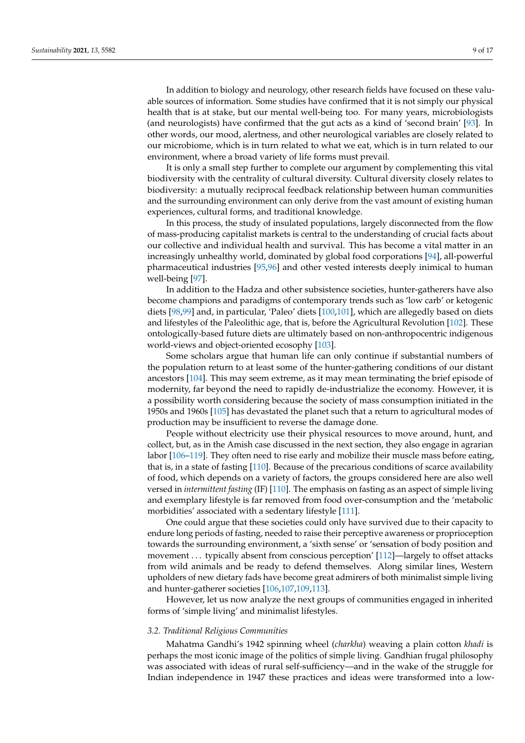In addition to biology and neurology, other research fields have focused on these valuable sources of information. Some studies have confirmed that it is not simply our physical health that is at stake, but our mental well-being too. For many years, microbiologists (and neurologists) have confirmed that the gut acts as a kind of 'second brain' [\[93\]](#page-15-14). In other words, our mood, alertness, and other neurological variables are closely related to our microbiome, which is in turn related to what we eat, which is in turn related to our environment, where a broad variety of life forms must prevail.

It is only a small step further to complete our argument by complementing this vital biodiversity with the centrality of cultural diversity. Cultural diversity closely relates to biodiversity: a mutually reciprocal feedback relationship between human communities and the surrounding environment can only derive from the vast amount of existing human experiences, cultural forms, and traditional knowledge.

In this process, the study of insulated populations, largely disconnected from the flow of mass-producing capitalist markets is central to the understanding of crucial facts about our collective and individual health and survival. This has become a vital matter in an increasingly unhealthy world, dominated by global food corporations [\[94\]](#page-15-15), all-powerful pharmaceutical industries [\[95](#page-15-16)[,96\]](#page-15-17) and other vested interests deeply inimical to human well-being [\[97\]](#page-15-18).

In addition to the Hadza and other subsistence societies, hunter-gatherers have also become champions and paradigms of contemporary trends such as 'low carb' or ketogenic diets [\[98,](#page-15-19)[99\]](#page-15-20) and, in particular, 'Paleo' diets [\[100,](#page-15-21)[101\]](#page-15-22), which are allegedly based on diets and lifestyles of the Paleolithic age, that is, before the Agricultural Revolution [\[102\]](#page-15-23). These ontologically-based future diets are ultimately based on non-anthropocentric indigenous world-views and object-oriented ecosophy [\[103\]](#page-15-24).

Some scholars argue that human life can only continue if substantial numbers of the population return to at least some of the hunter-gathering conditions of our distant ancestors [\[104\]](#page-15-25). This may seem extreme, as it may mean terminating the brief episode of modernity, far beyond the need to rapidly de-industrialize the economy. However, it is a possibility worth considering because the society of mass consumption initiated in the 1950s and 1960s [\[105\]](#page-15-26) has devastated the planet such that a return to agricultural modes of production may be insufficient to reverse the damage done.

People without electricity use their physical resources to move around, hunt, and collect, but, as in the Amish case discussed in the next section, they also engage in agrarian labor [\[106](#page-15-27)[–119\]](#page-16-0). They often need to rise early and mobilize their muscle mass before eating, that is, in a state of fasting [\[110\]](#page-16-1). Because of the precarious conditions of scarce availability of food, which depends on a variety of factors, the groups considered here are also well versed in *intermittent fasting* (IF) [\[110\]](#page-16-1). The emphasis on fasting as an aspect of simple living and exemplary lifestyle is far removed from food over-consumption and the 'metabolic morbidities' associated with a sedentary lifestyle [\[111\]](#page-16-2).

One could argue that these societies could only have survived due to their capacity to endure long periods of fasting, needed to raise their perceptive awareness or proprioception towards the surrounding environment, a 'sixth sense' or 'sensation of body position and movement . . . typically absent from conscious perception' [\[112\]](#page-16-3)—largely to offset attacks from wild animals and be ready to defend themselves. Along similar lines, Western upholders of new dietary fads have become great admirers of both minimalist simple living and hunter-gatherer societies [\[106](#page-15-27)[,107,](#page-16-4)[109,](#page-16-5)[113\]](#page-16-6).

However, let us now analyze the next groups of communities engaged in inherited forms of 'simple living' and minimalist lifestyles.

## *3.2. Traditional Religious Communities*

Mahatma Gandhi's 1942 spinning wheel (*charkha*) weaving a plain cotton *khadi* is perhaps the most iconic image of the politics of simple living. Gandhian frugal philosophy was associated with ideas of rural self-sufficiency—and in the wake of the struggle for Indian independence in 1947 these practices and ideas were transformed into a low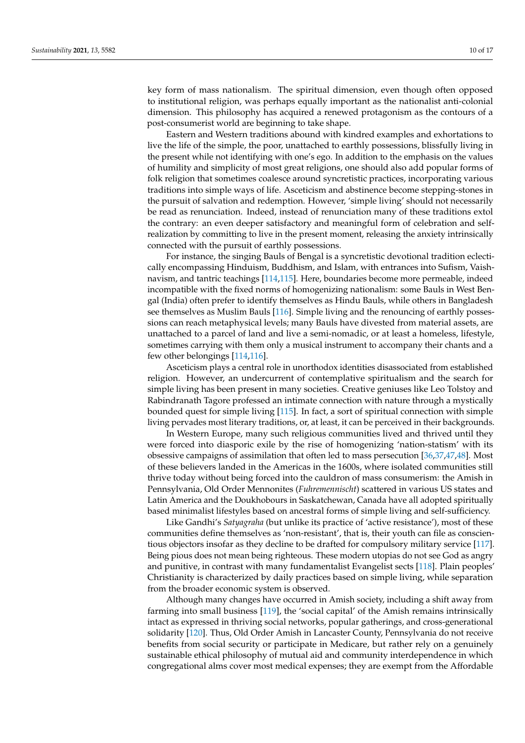key form of mass nationalism. The spiritual dimension, even though often opposed to institutional religion, was perhaps equally important as the nationalist anti-colonial dimension. This philosophy has acquired a renewed protagonism as the contours of a post-consumerist world are beginning to take shape.

Eastern and Western traditions abound with kindred examples and exhortations to live the life of the simple, the poor, unattached to earthly possessions, blissfully living in the present while not identifying with one's ego. In addition to the emphasis on the values of humility and simplicity of most great religions, one should also add popular forms of folk religion that sometimes coalesce around syncretistic practices, incorporating various traditions into simple ways of life. Asceticism and abstinence become stepping-stones in the pursuit of salvation and redemption. However, 'simple living' should not necessarily be read as renunciation. Indeed, instead of renunciation many of these traditions extol the contrary: an even deeper satisfactory and meaningful form of celebration and selfrealization by committing to live in the present moment, releasing the anxiety intrinsically connected with the pursuit of earthly possessions.

For instance, the singing Bauls of Bengal is a syncretistic devotional tradition eclectically encompassing Hinduism, Buddhism, and Islam, with entrances into Sufism, Vaishnavism, and tantric teachings [\[114](#page-16-7)[,115\]](#page-16-8). Here, boundaries become more permeable, indeed incompatible with the fixed norms of homogenizing nationalism: some Bauls in West Bengal (India) often prefer to identify themselves as Hindu Bauls, while others in Bangladesh see themselves as Muslim Bauls [\[116\]](#page-16-9). Simple living and the renouncing of earthly possessions can reach metaphysical levels; many Bauls have divested from material assets, are unattached to a parcel of land and live a semi-nomadic, or at least a homeless, lifestyle, sometimes carrying with them only a musical instrument to accompany their chants and a few other belongings [\[114,](#page-16-7)[116\]](#page-16-9).

Asceticism plays a central role in unorthodox identities disassociated from established religion. However, an undercurrent of contemplative spiritualism and the search for simple living has been present in many societies. Creative geniuses like Leo Tolstoy and Rabindranath Tagore professed an intimate connection with nature through a mystically bounded quest for simple living [\[115\]](#page-16-8). In fact, a sort of spiritual connection with simple living pervades most literary traditions, or, at least, it can be perceived in their backgrounds.

In Western Europe, many such religious communities lived and thrived until they were forced into diasporic exile by the rise of homogenizing 'nation-statism' with its obsessive campaigns of assimilation that often led to mass persecution [\[36](#page-13-27)[,37](#page-13-28)[,47](#page-14-32)[,48\]](#page-14-4). Most of these believers landed in the Americas in the 1600s, where isolated communities still thrive today without being forced into the cauldron of mass consumerism: the Amish in Pennsylvania, Old Order Mennonites (*Fuhremennischt*) scattered in various US states and Latin America and the Doukhobours in Saskatchewan, Canada have all adopted spiritually based minimalist lifestyles based on ancestral forms of simple living and self-sufficiency.

Like Gandhi's *Satyagraha* (but unlike its practice of 'active resistance'), most of these communities define themselves as 'non-resistant', that is, their youth can file as conscientious objectors insofar as they decline to be drafted for compulsory military service [\[117\]](#page-16-10). Being pious does not mean being righteous. These modern utopias do not see God as angry and punitive, in contrast with many fundamentalist Evangelist sects [\[118\]](#page-16-11). Plain peoples' Christianity is characterized by daily practices based on simple living, while separation from the broader economic system is observed.

Although many changes have occurred in Amish society, including a shift away from farming into small business [\[119\]](#page-16-0), the 'social capital' of the Amish remains intrinsically intact as expressed in thriving social networks, popular gatherings, and cross-generational solidarity [\[120\]](#page-16-12). Thus, Old Order Amish in Lancaster County, Pennsylvania do not receive benefits from social security or participate in Medicare, but rather rely on a genuinely sustainable ethical philosophy of mutual aid and community interdependence in which congregational alms cover most medical expenses; they are exempt from the Affordable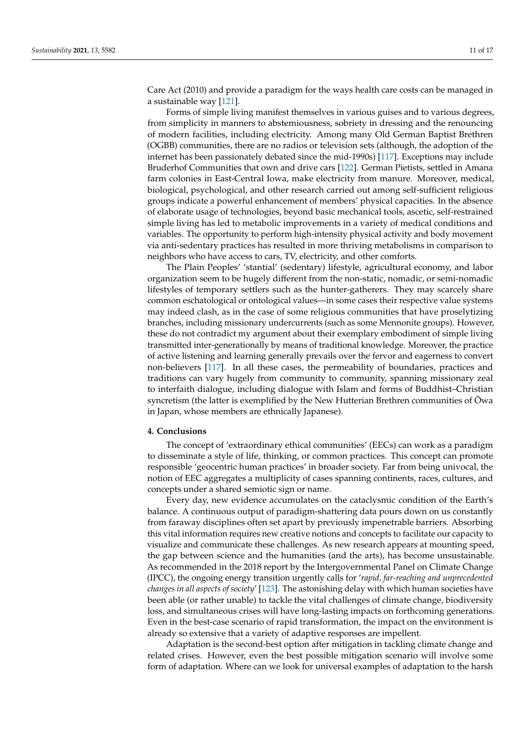Care Act (2010) and provide a paradigm for the ways health care costs can be managed in a sustainable way [\[121\]](#page-16-13).

Forms of simple living manifest themselves in various guises and to various degrees, from simplicity in manners to abstemiousness, sobriety in dressing and the renouncing of modern facilities, including electricity. Among many Old German Baptist Brethren (OGBB) communities, there are no radios or television sets (although, the adoption of the internet has been passionately debated since the mid-1990s) [\[117\]](#page-16-10). Exceptions may include Bruderhof Communities that own and drive cars [\[122\]](#page-16-14). German Pietists, settled in Amana farm colonies in East-Central Iowa, make electricity from manure. Moreover, medical, biological, psychological, and other research carried out among self-sufficient religious groups indicate a powerful enhancement of members' physical capacities. In the absence of elaborate usage of technologies, beyond basic mechanical tools, ascetic, self-restrained simple living has led to metabolic improvements in a variety of medical conditions and variables. The opportunity to perform high-intensity physical activity and body movement via anti-sedentary practices has resulted in more thriving metabolisms in comparison to neighbors who have access to cars, TV, electricity, and other comforts.

The Plain Peoples' 'stantial' (sedentary) lifestyle, agricultural economy, and labor organization seem to be hugely different from the non-static, nomadic, or semi-nomadic lifestyles of temporary settlers such as the hunter-gatherers. They may scarcely share common eschatological or ontological values—in some cases their respective value systems may indeed clash, as in the case of some religious communities that have proselytizing branches, including missionary undercurrents (such as some Mennonite groups). However, these do not contradict my argument about their exemplary embodiment of simple living transmitted inter-generationally by means of traditional knowledge. Moreover, the practice of active listening and learning generally prevails over the fervor and eagerness to convert non-believers [\[117\]](#page-16-10). In all these cases, the permeability of boundaries, practices and traditions can vary hugely from community to community, spanning missionary zeal to interfaith dialogue, including dialogue with Islam and forms of Buddhist–Christian syncretism (the latter is exemplified by the New Hutterian Brethren communities of Owa ¯ in Japan, whose members are ethnically Japanese).

## **4. Conclusions**

The concept of 'extraordinary ethical communities' (EECs) can work as a paradigm to disseminate a style of life, thinking, or common practices. This concept can promote responsible 'geocentric human practices' in broader society. Far from being univocal, the notion of EEC aggregates a multiplicity of cases spanning continents, races, cultures, and concepts under a shared semiotic sign or name.

Every day, new evidence accumulates on the cataclysmic condition of the Earth's balance. A continuous output of paradigm-shattering data pours down on us constantly from faraway disciplines often set apart by previously impenetrable barriers. Absorbing this vital information requires new creative notions and concepts to facilitate our capacity to visualize and communicate these challenges. As new research appears at mounting speed, the gap between science and the humanities (and the arts), has become unsustainable. As recommended in the 2018 report by the Intergovernmental Panel on Climate Change (IPCC), the ongoing energy transition urgently calls for '*rapid, far-reaching and unprecedented changes in all aspects of society*' [\[123\]](#page-16-15). The astonishing delay with which human societies have been able (or rather unable) to tackle the vital challenges of climate change, biodiversity loss, and simultaneous crises will have long-lasting impacts on forthcoming generations. Even in the best-case scenario of rapid transformation, the impact on the environment is already so extensive that a variety of adaptive responses are impellent.

Adaptation is the second-best option after mitigation in tackling climate change and related crises. However, even the best possible mitigation scenario will involve some form of adaptation. Where can we look for universal examples of adaptation to the harsh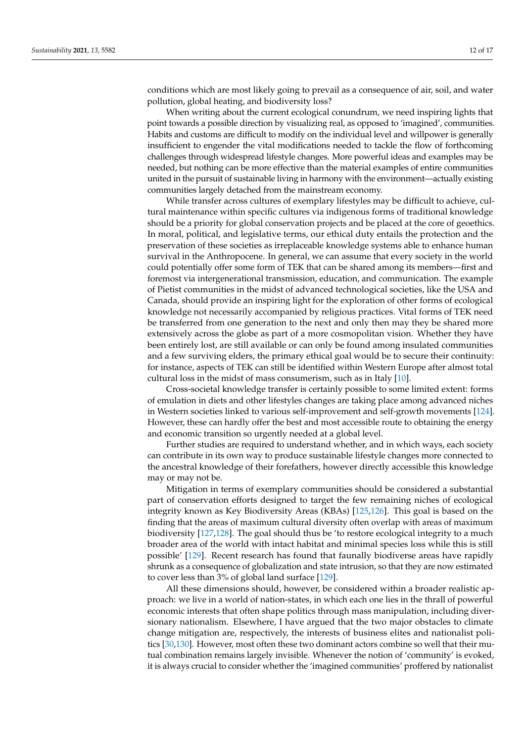conditions which are most likely going to prevail as a consequence of air, soil, and water pollution, global heating, and biodiversity loss?

When writing about the current ecological conundrum, we need inspiring lights that point towards a possible direction by visualizing real, as opposed to 'imagined', communities. Habits and customs are difficult to modify on the individual level and willpower is generally insufficient to engender the vital modifications needed to tackle the flow of forthcoming challenges through widespread lifestyle changes. More powerful ideas and examples may be needed, but nothing can be more effective than the material examples of entire communities united in the pursuit of sustainable living in harmony with the environment—actually existing communities largely detached from the mainstream economy.

While transfer across cultures of exemplary lifestyles may be difficult to achieve, cultural maintenance within specific cultures via indigenous forms of traditional knowledge should be a priority for global conservation projects and be placed at the core of geoethics. In moral, political, and legislative terms, our ethical duty entails the protection and the preservation of these societies as irreplaceable knowledge systems able to enhance human survival in the Anthropocene. In general, we can assume that every society in the world could potentially offer some form of TEK that can be shared among its members—first and foremost via intergenerational transmission, education, and communication. The example of Pietist communities in the midst of advanced technological societies, like the USA and Canada, should provide an inspiring light for the exploration of other forms of ecological knowledge not necessarily accompanied by religious practices. Vital forms of TEK need be transferred from one generation to the next and only then may they be shared more extensively across the globe as part of a more cosmopolitan vision. Whether they have been entirely lost, are still available or can only be found among insulated communities and a few surviving elders, the primary ethical goal would be to secure their continuity: for instance, aspects of TEK can still be identified within Western Europe after almost total cultural loss in the midst of mass consumerism, such as in Italy [\[10\]](#page-13-2).

Cross-societal knowledge transfer is certainly possible to some limited extent: forms of emulation in diets and other lifestyles changes are taking place among advanced niches in Western societies linked to various self-improvement and self-growth movements [\[124\]](#page-16-16). However, these can hardly offer the best and most accessible route to obtaining the energy and economic transition so urgently needed at a global level.

Further studies are required to understand whether, and in which ways, each society can contribute in its own way to produce sustainable lifestyle changes more connected to the ancestral knowledge of their forefathers, however directly accessible this knowledge may or may not be.

Mitigation in terms of exemplary communities should be considered a substantial part of conservation efforts designed to target the few remaining niches of ecological integrity known as Key Biodiversity Areas (KBAs) [\[125,](#page-16-17)[126\]](#page-16-18). This goal is based on the finding that the areas of maximum cultural diversity often overlap with areas of maximum biodiversity [\[127](#page-16-19)[,128\]](#page-16-20). The goal should thus be 'to restore ecological integrity to a much broader area of the world with intact habitat and minimal species loss while this is still possible' [\[129\]](#page-16-21). Recent research has found that faunally biodiverse areas have rapidly shrunk as a consequence of globalization and state intrusion, so that they are now estimated to cover less than 3% of global land surface [\[129\]](#page-16-21).

All these dimensions should, however, be considered within a broader realistic approach: we live in a world of nation-states, in which each one lies in the thrall of powerful economic interests that often shape politics through mass manipulation, including diversionary nationalism. Elsewhere, I have argued that the two major obstacles to climate change mitigation are, respectively, the interests of business elites and nationalist politics [\[30,](#page-13-21)[130\]](#page-16-22). However, most often these two dominant actors combine so well that their mutual combination remains largely invisible. Whenever the notion of 'community' is evoked, it is always crucial to consider whether the 'imagined communities' proffered by nationalist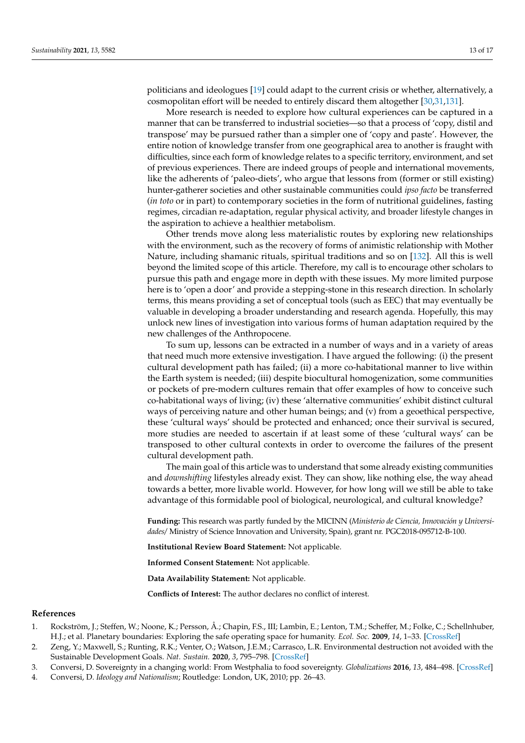politicians and ideologues [\[19\]](#page-13-10) could adapt to the current crisis or whether, alternatively, a cosmopolitan effort will be needed to entirely discard them altogether [\[30,](#page-13-21)[31](#page-13-22)[,131\]](#page-16-23).

More research is needed to explore how cultural experiences can be captured in a manner that can be transferred to industrial societies—so that a process of 'copy, distil and transpose' may be pursued rather than a simpler one of 'copy and paste'. However, the entire notion of knowledge transfer from one geographical area to another is fraught with difficulties, since each form of knowledge relates to a specific territory, environment, and set of previous experiences. There are indeed groups of people and international movements, like the adherents of 'paleo-diets', who argue that lessons from (former or still existing) hunter-gatherer societies and other sustainable communities could *ipso facto* be transferred (*in toto* or in part) to contemporary societies in the form of nutritional guidelines, fasting regimes, circadian re-adaptation, regular physical activity, and broader lifestyle changes in the aspiration to achieve a healthier metabolism.

Other trends move along less materialistic routes by exploring new relationships with the environment, such as the recovery of forms of animistic relationship with Mother Nature, including shamanic rituals, spiritual traditions and so on [\[132\]](#page-16-24). All this is well beyond the limited scope of this article. Therefore, my call is to encourage other scholars to pursue this path and engage more in depth with these issues. My more limited purpose here is to 'open a door' and provide a stepping-stone in this research direction. In scholarly terms, this means providing a set of conceptual tools (such as EEC) that may eventually be valuable in developing a broader understanding and research agenda. Hopefully, this may unlock new lines of investigation into various forms of human adaptation required by the new challenges of the Anthropocene.

To sum up, lessons can be extracted in a number of ways and in a variety of areas that need much more extensive investigation. I have argued the following: (i) the present cultural development path has failed; (ii) a more co-habitational manner to live within the Earth system is needed; (iii) despite biocultural homogenization, some communities or pockets of pre-modern cultures remain that offer examples of how to conceive such co-habitational ways of living; (iv) these 'alternative communities' exhibit distinct cultural ways of perceiving nature and other human beings; and (v) from a geoethical perspective, these 'cultural ways' should be protected and enhanced; once their survival is secured, more studies are needed to ascertain if at least some of these 'cultural ways' can be transposed to other cultural contexts in order to overcome the failures of the present cultural development path.

The main goal of this article was to understand that some already existing communities and *downshifting* lifestyles already exist. They can show, like nothing else, the way ahead towards a better, more livable world. However, for how long will we still be able to take advantage of this formidable pool of biological, neurological, and cultural knowledge?

**Funding:** This research was partly funded by the MICINN (*Ministerio de Ciencia, Innovación y Universidades/* Ministry of Science Innovation and University, Spain), grant nr. PGC2018-095712-B-100.

**Institutional Review Board Statement:** Not applicable.

**Informed Consent Statement:** Not applicable.

**Data Availability Statement:** Not applicable.

**Conflicts of Interest:** The author declares no conflict of interest.

#### **References**

- <span id="page-12-0"></span>1. Rockström, J.; Steffen, W.; Noone, K.; Persson, Å.; Chapin, F.S., III; Lambin, E.; Lenton, T.M.; Scheffer, M.; Folke, C.; Schellnhuber, H.J.; et al. Planetary boundaries: Exploring the safe operating space for humanity. *Ecol. Soc.* **2009**, *14*, 1–33. [\[CrossRef\]](http://doi.org/10.5751/ES-03180-140232)
- <span id="page-12-1"></span>2. Zeng, Y.; Maxwell, S.; Runting, R.K.; Venter, O.; Watson, J.E.M.; Carrasco, L.R. Environmental destruction not avoided with the Sustainable Development Goals. *Nat. Sustain.* **2020**, *3*, 795–798. [\[CrossRef\]](http://doi.org/10.1038/s41893-020-0555-0)
- <span id="page-12-2"></span>3. Conversi, D. Sovereignty in a changing world: From Westphalia to food sovereignty. *Globalizations* **2016**, *13*, 484–498. [\[CrossRef\]](http://doi.org/10.1080/14747731.2016.1150570)
- <span id="page-12-3"></span>4. Conversi, D. *Ideology and Nationalism*; Routledge: London, UK, 2010; pp. 26–43.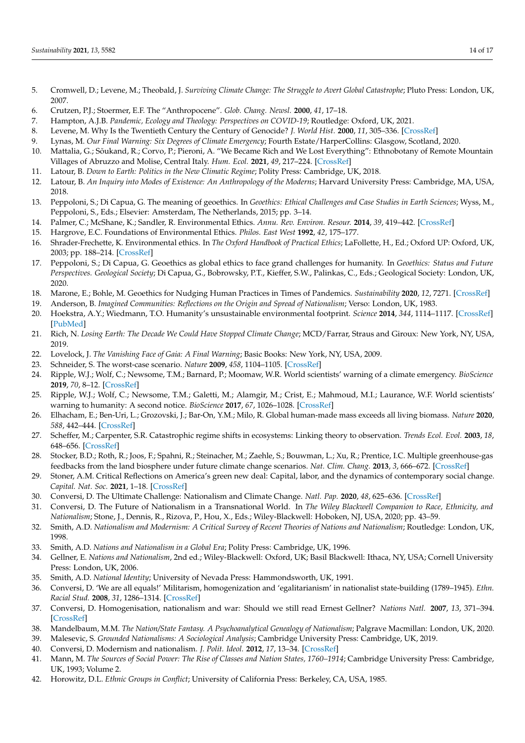- <span id="page-13-0"></span>5. Cromwell, D.; Levene, M.; Theobald, J. *Surviving Climate Change: The Struggle to Avert Global Catastrophe*; Pluto Press: London, UK, 2007.
- <span id="page-13-34"></span>6. Crutzen, P.J.; Stoermer, E.F. The "Anthropocene". *Glob. Chang. Newsl.* **2000**, *41*, 17–18.
- 7. Hampton, A.J.B. *Pandemic, Ecology and Theology: Perspectives on COVID-19*; Routledge: Oxford, UK, 2021.
- 8. Levene, M. Why Is the Twentieth Century the Century of Genocide? *J. World Hist.* **2000**, *11*, 305–336. [\[CrossRef\]](http://doi.org/10.1353/jwh.2000.0044)
- <span id="page-13-1"></span>9. Lynas, M. *Our Final Warning: Six Degrees of Climate Emergency*; Fourth Estate/HarperCollins: Glasgow, Scotland, 2020.
- <span id="page-13-2"></span>10. Mattalia, G.; Sõukand, R.; Corvo, P.; Pieroni, A. "We Became Rich and We Lost Everything": Ethnobotany of Remote Mountain Villages of Abruzzo and Molise, Central Italy. *Hum. Ecol.* **2021**, *49*, 217–224. [\[CrossRef\]](http://doi.org/10.1007/s10745-020-00209-6)
- <span id="page-13-3"></span>11. Latour, B. *Down to Earth: Politics in the New Climatic Regime*; Polity Press: Cambridge, UK, 2018.
- <span id="page-13-4"></span>12. Latour, B. *An Inquiry into Modes of Existence: An Anthropology of the Moderns*; Harvard University Press: Cambridge, MA, USA, 2018.
- <span id="page-13-5"></span>13. Peppoloni, S.; Di Capua, G. The meaning of geoethics. In *Geoethics: Ethical Challenges and Case Studies in Earth Sciences*; Wyss, M., Peppoloni, S., Eds.; Elsevier: Amsterdam, The Netherlands, 2015; pp. 3–14.
- <span id="page-13-6"></span>14. Palmer, C.; McShane, K.; Sandler, R. Environmental Ethics. *Annu. Rev. Environ. Resour.* **2014**, *39*, 419–442. [\[CrossRef\]](http://doi.org/10.1146/annurev-environ-121112-094434)
- 15. Hargrove, E.C. Foundations of Environmental Ethics. *Philos. East West* **1992**, *42*, 175–177.
- <span id="page-13-7"></span>16. Shrader-Frechette, K. Environmental ethics. In *The Oxford Handbook of Practical Ethics*; LaFollette, H., Ed.; Oxford UP: Oxford, UK, 2003; pp. 188–214. [\[CrossRef\]](http://doi.org/10.1093/oxfordhb/9780199284238.003.0009)
- <span id="page-13-8"></span>17. Peppoloni, S.; Di Capua, G. Geoethics as global ethics to face grand challenges for humanity. In *Geoethics: Status and Future Perspectives. Geological Society*; Di Capua, G., Bobrowsky, P.T., Kieffer, S.W., Palinkas, C., Eds.; Geological Society: London, UK, 2020.
- <span id="page-13-9"></span>18. Marone, E.; Bohle, M. Geoethics for Nudging Human Practices in Times of Pandemics. *Sustainability* **2020**, *12*, 7271. [\[CrossRef\]](http://doi.org/10.3390/su12187271)
- <span id="page-13-10"></span>19. Anderson, B. *Imagined Communities: Reflections on the Origin and Spread of Nationalism*; Verso: London, UK, 1983.
- <span id="page-13-11"></span>20. Hoekstra, A.Y.; Wiedmann, T.O. Humanity's unsustainable environmental footprint. *Science* **2014**, *344*, 1114–1117. [\[CrossRef\]](http://doi.org/10.1126/science.1248365) [\[PubMed\]](http://www.ncbi.nlm.nih.gov/pubmed/24904155)
- <span id="page-13-12"></span>21. Rich, N. *Losing Earth: The Decade We Could Have Stopped Climate Change*; MCD/Farrar, Straus and Giroux: New York, NY, USA, 2019.
- <span id="page-13-13"></span>22. Lovelock, J. *The Vanishing Face of Gaia: A Final Warning*; Basic Books: New York, NY, USA, 2009.
- <span id="page-13-14"></span>23. Schneider, S. The worst-case scenario. *Nature* **2009**, *458*, 1104–1105. [\[CrossRef\]](http://doi.org/10.1038/4581104a)
- <span id="page-13-15"></span>24. Ripple, W.J.; Wolf, C.; Newsome, T.M.; Barnard, P.; Moomaw, W.R. World scientists' warning of a climate emergency. *BioScience* **2019**, *70*, 8–12. [\[CrossRef\]](http://doi.org/10.1093/biosci/biz088)
- <span id="page-13-16"></span>25. Ripple, W.J.; Wolf, C.; Newsome, T.M.; Galetti, M.; Alamgir, M.; Crist, E.; Mahmoud, M.I.; Laurance, W.F. World scientists' warning to humanity: A second notice. *BioScience* **2017**, *67*, 1026–1028. [\[CrossRef\]](http://doi.org/10.1093/biosci/bix125)
- <span id="page-13-17"></span>26. Elhacham, E.; Ben-Uri, L.; Grozovski, J.; Bar-On, Y.M.; Milo, R. Global human-made mass exceeds all living biomass. *Nature* **2020**, *588*, 442–444. [\[CrossRef\]](http://doi.org/10.1038/s41586-020-3010-5)
- <span id="page-13-18"></span>27. Scheffer, M.; Carpenter, S.R. Catastrophic regime shifts in ecosystems: Linking theory to observation. *Trends Ecol. Evol.* **2003**, *18*, 648–656. [\[CrossRef\]](http://doi.org/10.1016/j.tree.2003.09.002)
- <span id="page-13-19"></span>28. Stocker, B.D.; Roth, R.; Joos, F.; Spahni, R.; Steinacher, M.; Zaehle, S.; Bouwman, L.; Xu, R.; Prentice, I.C. Multiple greenhouse-gas feedbacks from the land biosphere under future climate change scenarios. *Nat. Clim. Chang.* **2013**, *3*, 666–672. [\[CrossRef\]](http://doi.org/10.1038/nclimate1864)
- <span id="page-13-20"></span>29. Stoner, A.M. Critical Reflections on America's green new deal: Capital, labor, and the dynamics of contemporary social change. *Capital. Nat. Soc.* **2021**, 1–18. [\[CrossRef\]](http://doi.org/10.1080/10455752.2020.1775860)
- <span id="page-13-21"></span>30. Conversi, D. The Ultimate Challenge: Nationalism and Climate Change. *Natl. Pap.* **2020**, *48*, 625–636. [\[CrossRef\]](http://doi.org/10.1017/nps.2020.18)
- <span id="page-13-22"></span>31. Conversi, D. The Future of Nationalism in a Transnational World. In *The Wiley Blackwell Companion to Race, Ethnicity, and Nationalism*; Stone, J., Dennis, R., Rizova, P., Hou, X., Eds.; Wiley-Blackwell: Hoboken, NJ, USA, 2020; pp. 43–59.
- <span id="page-13-23"></span>32. Smith, A.D. *Nationalism and Modernism: A Critical Survey of Recent Theories of Nations and Nationalism*; Routledge: London, UK, 1998.
- <span id="page-13-24"></span>33. Smith, A.D. *Nations and Nationalism in a Global Era*; Polity Press: Cambridge, UK, 1996.
- <span id="page-13-25"></span>34. Gellner, E. *Nations and Nationalism*, 2nd ed.; Wiley-Blackwell: Oxford, UK; Basil Blackwell: Ithaca, NY, USA; Cornell University Press: London, UK, 2006.
- <span id="page-13-26"></span>35. Smith, A.D. *National Identity*; University of Nevada Press: Hammondsworth, UK, 1991.
- <span id="page-13-27"></span>36. Conversi, D. 'We are all equals!' Militarism, homogenization and 'egalitarianism' in nationalist state-building (1789–1945). *Ethn. Racial Stud.* **2008**, *31*, 1286–1314. [\[CrossRef\]](http://doi.org/10.1080/01419870701625450)
- <span id="page-13-28"></span>37. Conversi, D. Homogenisation, nationalism and war: Should we still read Ernest Gellner? *Nations Natl.* **2007**, *13*, 371–394. [\[CrossRef\]](http://doi.org/10.1111/j.1469-8129.2007.00292.x)
- <span id="page-13-29"></span>38. Mandelbaum, M.M. *The Nation/State Fantasy. A Psychoanalytical Genealogy of Nationalism*; Palgrave Macmillan: London, UK, 2020.
- <span id="page-13-30"></span>39. Malesevic, S. *Grounded Nationalisms: A Sociological Analysis*; Cambridge University Press: Cambridge, UK, 2019.
- <span id="page-13-31"></span>40. Conversi, D. Modernism and nationalism. *J. Polit. Ideol.* **2012**, *17*, 13–34. [\[CrossRef\]](http://doi.org/10.1080/13569317.2012.644982)
- <span id="page-13-32"></span>41. Mann, M. *The Sources of Social Power: The Rise of Classes and Nation States, 1760–1914*; Cambridge University Press: Cambridge, UK, 1993; Volume 2.
- <span id="page-13-33"></span>42. Horowitz, D.L. *Ethnic Groups in Conflict*; University of California Press: Berkeley, CA, USA, 1985.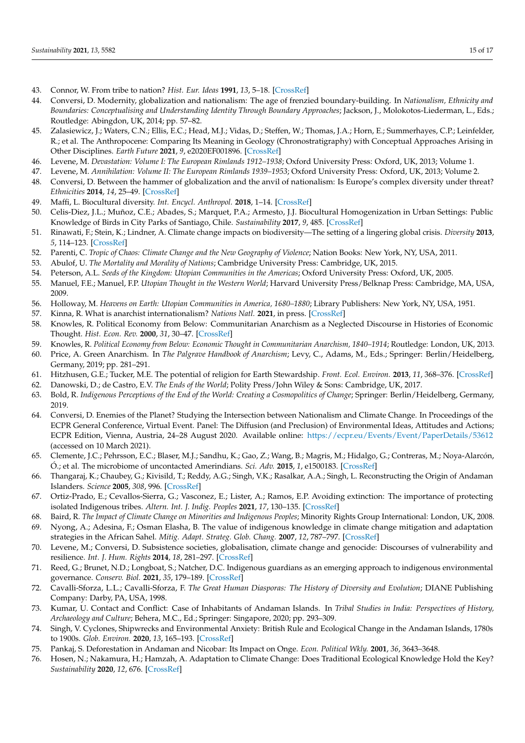- <span id="page-14-0"></span>43. Connor, W. From tribe to nation? *Hist. Eur. Ideas* **1991**, *13*, 5–18. [\[CrossRef\]](http://doi.org/10.1016/0191-6599(91)90109-C)
- <span id="page-14-1"></span>44. Conversi, D. Modernity, globalization and nationalism: The age of frenzied boundary-building. In *Nationalism, Ethnicity and Boundaries: Conceptualising and Understanding Identity Through Boundary Approaches*; Jackson, J., Molokotos-Liederman, L., Eds.; Routledge: Abingdon, UK, 2014; pp. 57–82.
- <span id="page-14-2"></span>45. Zalasiewicz, J.; Waters, C.N.; Ellis, E.C.; Head, M.J.; Vidas, D.; Steffen, W.; Thomas, J.A.; Horn, E.; Summerhayes, C.P.; Leinfelder, R.; et al. The Anthropocene: Comparing Its Meaning in Geology (Chronostratigraphy) with Conceptual Approaches Arising in Other Disciplines. *Earth Future* **2021**, *9*, e2020EF001896. [\[CrossRef\]](http://doi.org/10.1029/2020EF001896)
- <span id="page-14-3"></span>46. Levene, M. *Devastation: Volume I: The European Rimlands 1912–1938*; Oxford University Press: Oxford, UK, 2013; Volume 1.
- <span id="page-14-32"></span>47. Levene, M. *Annihilation: Volume II: The European Rimlands 1939–1953*; Oxford University Press: Oxford, UK, 2013; Volume 2.
- <span id="page-14-4"></span>48. Conversi, D. Between the hammer of globalization and the anvil of nationalism: Is Europe's complex diversity under threat? *Ethnicities* **2014**, *14*, 25–49. [\[CrossRef\]](http://doi.org/10.1177/1468796813487727)
- <span id="page-14-5"></span>49. Maffi, L. Biocultural diversity. *Int. Encycl. Anthropol.* **2018**, 1–14. [\[CrossRef\]](http://doi.org/10.1002/9781118924396.wbiea1797)
- <span id="page-14-6"></span>50. Celis-Diez, J.L.; Muñoz, C.E.; Abades, S.; Marquet, P.A.; Armesto, J.J. Biocultural Homogenization in Urban Settings: Public Knowledge of Birds in City Parks of Santiago, Chile. *Sustainability* **2017**, *9*, 485. [\[CrossRef\]](http://doi.org/10.3390/su9040485)
- <span id="page-14-7"></span>51. Rinawati, F.; Stein, K.; Lindner, A. Climate change impacts on biodiversity—The setting of a lingering global crisis. *Diversity* **2013**, *5*, 114–123. [\[CrossRef\]](http://doi.org/10.3390/d5010114)
- <span id="page-14-8"></span>52. Parenti, C. *Tropic of Chaos: Climate Change and the New Geography of Violence*; Nation Books: New York, NY, USA, 2011.
- <span id="page-14-9"></span>53. Abulof, U. *The Mortality and Morality of Nations*; Cambridge University Press: Cambridge, UK, 2015.
- <span id="page-14-10"></span>54. Peterson, A.L. *Seeds of the Kingdom: Utopian Communities in the Americas*; Oxford University Press: Oxford, UK, 2005.
- 55. Manuel, F.E.; Manuel, F.P. *Utopian Thought in the Western World*; Harvard University Press/Belknap Press: Cambridge, MA, USA, 2009.
- <span id="page-14-11"></span>56. Holloway, M. *Heavens on Earth: Utopian Communities in America, 1680–1880*; Library Publishers: New York, NY, USA, 1951.
- <span id="page-14-12"></span>57. Kinna, R. What is anarchist internationalism? *Nations Natl.* **2021**, in press. [\[CrossRef\]](http://doi.org/10.1111/nana.12676)
- <span id="page-14-13"></span>58. Knowles, R. Political Economy from Below: Communitarian Anarchism as a Neglected Discourse in Histories of Economic Thought. *Hist. Econ. Rev.* **2000**, *31*, 30–47. [\[CrossRef\]](http://doi.org/10.1080/10370196.2000.11733332)
- <span id="page-14-14"></span>59. Knowles, R. *Political Economy from Below: Economic Thought in Communitarian Anarchism, 1840–1914*; Routledge: London, UK, 2013.
- <span id="page-14-15"></span>60. Price, A. Green Anarchism. In *The Palgrave Handbook of Anarchism*; Levy, C., Adams, M., Eds.; Springer: Berlin/Heidelberg, Germany, 2019; pp. 281–291.
- <span id="page-14-16"></span>61. Hitzhusen, G.E.; Tucker, M.E. The potential of religion for Earth Stewardship. *Front. Ecol. Environ.* **2013**, *11*, 368–376. [\[CrossRef\]](http://doi.org/10.1890/120322)
- <span id="page-14-17"></span>62. Danowski, D.; de Castro, E.V. *The Ends of the World*; Polity Press/John Wiley & Sons: Cambridge, UK, 2017.
- <span id="page-14-18"></span>63. Bold, R. *Indigenous Perceptions of the End of the World: Creating a Cosmopolitics of Change*; Springer: Berlin/Heidelberg, Germany, 2019.
- <span id="page-14-19"></span>64. Conversi, D. Enemies of the Planet? Studying the Intersection between Nationalism and Climate Change. In Proceedings of the ECPR General Conference, Virtual Event. Panel: The Diffusion (and Preclusion) of Environmental Ideas, Attitudes and Actions; ECPR Edition, Vienna, Austria, 24–28 August 2020. Available online: <https://ecpr.eu/Events/Event/PaperDetails/53612> (accessed on 10 March 2021).
- <span id="page-14-20"></span>65. Clemente, J.C.; Pehrsson, E.C.; Blaser, M.J.; Sandhu, K.; Gao, Z.; Wang, B.; Magris, M.; Hidalgo, G.; Contreras, M.; Noya-Alarcón, Ó.; et al. The microbiome of uncontacted Amerindians. *Sci. Adv.* **2015**, *1*, e1500183. [\[CrossRef\]](http://doi.org/10.1126/sciadv.1500183)
- <span id="page-14-21"></span>66. Thangaraj, K.; Chaubey, G.; Kivisild, T.; Reddy, A.G.; Singh, V.K.; Rasalkar, A.A.; Singh, L. Reconstructing the Origin of Andaman Islanders. *Science* **2005**, *308*, 996. [\[CrossRef\]](http://doi.org/10.1126/science.1109987)
- <span id="page-14-22"></span>67. Ortiz-Prado, E.; Cevallos-Sierra, G.; Vasconez, E.; Lister, A.; Ramos, E.P. Avoiding extinction: The importance of protecting isolated Indigenous tribes. *Altern. Int. J. Indig. Peoples* **2021**, *17*, 130–135. [\[CrossRef\]](http://doi.org/10.1177/1177180121995567)
- <span id="page-14-23"></span>68. Baird, R. *The Impact of Climate Change on Minorities and Indigenous Peoples*; Minority Rights Group International: London, UK, 2008.
- <span id="page-14-24"></span>69. Nyong, A.; Adesina, F.; Osman Elasha, B. The value of indigenous knowledge in climate change mitigation and adaptation strategies in the African Sahel. *Mitig. Adapt. Strateg. Glob. Chang.* **2007**, *12*, 787–797. [\[CrossRef\]](http://doi.org/10.1007/s11027-007-9099-0)
- <span id="page-14-25"></span>70. Levene, M.; Conversi, D. Subsistence societies, globalisation, climate change and genocide: Discourses of vulnerability and resilience. *Int. J. Hum. Rights* **2014**, *18*, 281–297. [\[CrossRef\]](http://doi.org/10.1080/13642987.2014.914702)
- <span id="page-14-26"></span>71. Reed, G.; Brunet, N.D.; Longboat, S.; Natcher, D.C. Indigenous guardians as an emerging approach to indigenous environmental governance. *Conserv. Biol.* **2021**, *35*, 179–189. [\[CrossRef\]](http://doi.org/10.1111/cobi.13532)
- <span id="page-14-27"></span>72. Cavalli-Sforza, L.L.; Cavalli-Sforza, F. *The Great Human Diasporas: The History of Diversity and Evolution*; DIANE Publishing Company: Darby, PA, USA, 1998.
- <span id="page-14-28"></span>73. Kumar, U. Contact and Conflict: Case of Inhabitants of Andaman Islands. In *Tribal Studies in India: Perspectives of History, Archaeology and Culture*; Behera, M.C., Ed.; Springer: Singapore, 2020; pp. 293–309.
- <span id="page-14-29"></span>74. Singh, V. Cyclones, Shipwrecks and Environmental Anxiety: British Rule and Ecological Change in the Andaman Islands, 1780s to 1900s. *Glob. Environ.* **2020**, *13*, 165–193. [\[CrossRef\]](http://doi.org/10.3197/ge.2020.130106)
- <span id="page-14-30"></span>75. Pankaj, S. Deforestation in Andaman and Nicobar: Its Impact on Onge. *Econ. Political Wkly.* **2001**, *36*, 3643–3648.
- <span id="page-14-31"></span>76. Hosen, N.; Nakamura, H.; Hamzah, A. Adaptation to Climate Change: Does Traditional Ecological Knowledge Hold the Key? *Sustainability* **2020**, *12*, 676. [\[CrossRef\]](http://doi.org/10.3390/su12020676)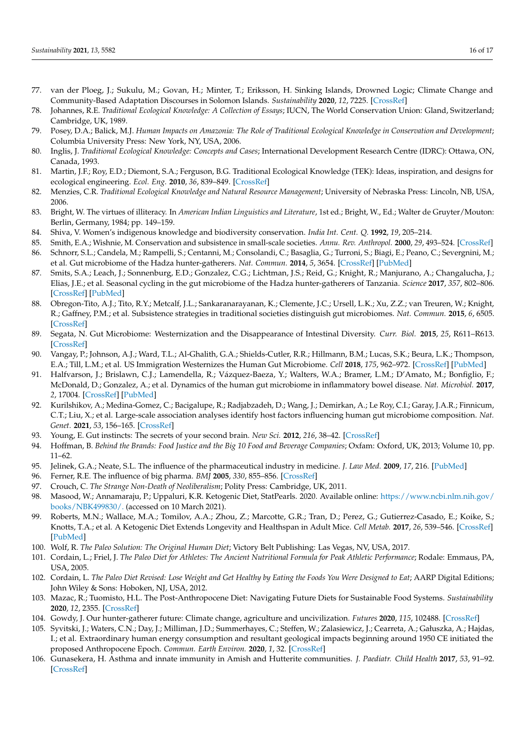- <span id="page-15-0"></span>77. van der Ploeg, J.; Sukulu, M.; Govan, H.; Minter, T.; Eriksson, H. Sinking Islands, Drowned Logic; Climate Change and Community-Based Adaptation Discourses in Solomon Islands. *Sustainability* **2020**, *12*, 7225. [\[CrossRef\]](http://doi.org/10.3390/su12177225)
- <span id="page-15-1"></span>78. Johannes, R.E. *Traditional Ecological Knowledge: A Collection of Essays*; IUCN, The World Conservation Union: Gland, Switzerland; Cambridge, UK, 1989.
- <span id="page-15-2"></span>79. Posey, D.A.; Balick, M.J. *Human Impacts on Amazonia: The Role of Traditional Ecological Knowledge in Conservation and Development*; Columbia University Press: New York, NY, USA, 2006.
- <span id="page-15-3"></span>80. Inglis, J. *Traditional Ecological Knowledge: Concepts and Cases*; International Development Research Centre (IDRC): Ottawa, ON, Canada, 1993.
- 81. Martin, J.F.; Roy, E.D.; Diemont, S.A.; Ferguson, B.G. Traditional Ecological Knowledge (TEK): Ideas, inspiration, and designs for ecological engineering. *Ecol. Eng.* **2010**, *36*, 839–849. [\[CrossRef\]](http://doi.org/10.1016/j.ecoleng.2010.04.001)
- <span id="page-15-4"></span>82. Menzies, C.R. *Traditional Ecological Knowledge and Natural Resource Management*; University of Nebraska Press: Lincoln, NB, USA, 2006.
- <span id="page-15-5"></span>83. Bright, W. The virtues of illiteracy. In *American Indian Linguistics and Literature*, 1st ed.; Bright, W., Ed.; Walter de Gruyter/Mouton: Berlin, Germany, 1984; pp. 149–159.
- <span id="page-15-6"></span>84. Shiva, V. Women's indigenous knowledge and biodiversity conservation. *India Int. Cent. Q.* **1992**, *19*, 205–214.
- <span id="page-15-8"></span><span id="page-15-7"></span>85. Smith, E.A.; Wishnie, M. Conservation and subsistence in small-scale societies. *Annu. Rev. Anthropol.* **2000**, *29*, 493–524. [\[CrossRef\]](http://doi.org/10.1146/annurev.anthro.29.1.493) 86. Schnorr, S.L.; Candela, M.; Rampelli, S.; Centanni, M.; Consolandi, C.; Basaglia, G.; Turroni, S.; Biagi, E.; Peano, C.; Severgnini, M.; et al. Gut microbiome of the Hadza hunter-gatherers. *Nat. Commun.* **2014**, *5*, 3654. [\[CrossRef\]](http://doi.org/10.1038/ncomms4654) [\[PubMed\]](http://www.ncbi.nlm.nih.gov/pubmed/24736369)
- <span id="page-15-9"></span>87. Smits, S.A.; Leach, J.; Sonnenburg, E.D.; Gonzalez, C.G.; Lichtman, J.S.; Reid, G.; Knight, R.; Manjurano, A.; Changalucha, J.; Elias, J.E.; et al. Seasonal cycling in the gut microbiome of the Hadza hunter-gatherers of Tanzania. *Science* **2017**, *357*, 802–806. [\[CrossRef\]](http://doi.org/10.1126/science.aan4834) [\[PubMed\]](http://www.ncbi.nlm.nih.gov/pubmed/28839072)
- <span id="page-15-10"></span>88. Obregon-Tito, A.J.; Tito, R.Y.; Metcalf, J.L.; Sankaranarayanan, K.; Clemente, J.C.; Ursell, L.K.; Xu, Z.Z.; van Treuren, W.; Knight, R.; Gaffney, P.M.; et al. Subsistence strategies in traditional societies distinguish gut microbiomes. *Nat. Commun.* **2015**, *6*, 6505. [\[CrossRef\]](http://doi.org/10.1038/ncomms7505)
- 89. Segata, N. Gut Microbiome: Westernization and the Disappearance of Intestinal Diversity. *Curr. Biol.* **2015**, *25*, R611–R613. [\[CrossRef\]](http://doi.org/10.1016/j.cub.2015.05.040)
- <span id="page-15-11"></span>90. Vangay, P.; Johnson, A.J.; Ward, T.L.; Al-Ghalith, G.A.; Shields-Cutler, R.R.; Hillmann, B.M.; Lucas, S.K.; Beura, L.K.; Thompson, E.A.; Till, L.M.; et al. US Immigration Westernizes the Human Gut Microbiome. *Cell* **2018**, *175*, 962–972. [\[CrossRef\]](http://doi.org/10.1016/j.cell.2018.10.029) [\[PubMed\]](http://www.ncbi.nlm.nih.gov/pubmed/30388453)
- <span id="page-15-12"></span>91. Halfvarson, J.; Brislawn, C.J.; Lamendella, R.; Vázquez-Baeza, Y.; Walters, W.A.; Bramer, L.M.; D'Amato, M.; Bonfiglio, F.; McDonald, D.; Gonzalez, A.; et al. Dynamics of the human gut microbiome in inflammatory bowel disease. *Nat. Microbiol.* **2017**, *2*, 17004. [\[CrossRef\]](http://doi.org/10.1038/nmicrobiol.2017.4) [\[PubMed\]](http://www.ncbi.nlm.nih.gov/pubmed/28191884)
- <span id="page-15-13"></span>92. Kurilshikov, A.; Medina-Gomez, C.; Bacigalupe, R.; Radjabzadeh, D.; Wang, J.; Demirkan, A.; Le Roy, C.I.; Garay, J.A.R.; Finnicum, C.T.; Liu, X.; et al. Large-scale association analyses identify host factors influencing human gut microbiome composition. *Nat. Genet.* **2021**, *53*, 156–165. [\[CrossRef\]](http://doi.org/10.1038/s41588-020-00763-1)
- <span id="page-15-14"></span>93. Young, E. Gut instincts: The secrets of your second brain. *New Sci.* **2012**, *216*, 38–42. [\[CrossRef\]](http://doi.org/10.1016/S0262-4079(12)63204-7)
- <span id="page-15-15"></span>94. Hoffman, B. *Behind the Brands: Food Justice and the Big 10 Food and Beverage Companies*; Oxfam: Oxford, UK, 2013; Volume 10, pp. 11–62.
- <span id="page-15-16"></span>95. Jelinek, G.A.; Neate, S.L. The influence of the pharmaceutical industry in medicine. *J. Law Med.* **2009**, *17*, 216. [\[PubMed\]](http://www.ncbi.nlm.nih.gov/pubmed/19998591)
- <span id="page-15-17"></span>96. Ferner, R.E. The influence of big pharma. *BMJ* **2005**, *330*, 855–856. [\[CrossRef\]](http://doi.org/10.1136/bmj.330.7496.855)
- <span id="page-15-18"></span>97. Crouch, C. *The Strange Non-Death of Neoliberalism*; Polity Press: Cambridge, UK, 2011.
- <span id="page-15-19"></span>98. Masood, W.; Annamaraju, P.; Uppaluri, K.R. Ketogenic Diet, StatPearls. 2020. Available online: [https://www.ncbi.nlm.nih.gov/](https://www.ncbi.nlm.nih.gov/books/NBK499830/.) [books/NBK499830/.](https://www.ncbi.nlm.nih.gov/books/NBK499830/.) (accessed on 10 March 2021).
- <span id="page-15-20"></span>99. Roberts, M.N.; Wallace, M.A.; Tomilov, A.A.; Zhou, Z.; Marcotte, G.R.; Tran, D.; Perez, G.; Gutierrez-Casado, E.; Koike, S.; Knotts, T.A.; et al. A Ketogenic Diet Extends Longevity and Healthspan in Adult Mice. *Cell Metab.* **2017**, *26*, 539–546. [\[CrossRef\]](http://doi.org/10.1016/j.cmet.2017.08.005) [\[PubMed\]](http://www.ncbi.nlm.nih.gov/pubmed/28877457)
- <span id="page-15-21"></span>100. Wolf, R. *The Paleo Solution: The Original Human Diet*; Victory Belt Publishing: Las Vegas, NV, USA, 2017.
- <span id="page-15-22"></span>101. Cordain, L.; Friel, J. *The Paleo Diet for Athletes: The Ancient Nutritional Formula for Peak Athletic Performance*; Rodale: Emmaus, PA, USA, 2005.
- <span id="page-15-23"></span>102. Cordain, L. *The Paleo Diet Revised: Lose Weight and Get Healthy by Eating the Foods You Were Designed to Eat*; AARP Digital Editions; John Wiley & Sons: Hoboken, NJ, USA, 2012.
- <span id="page-15-24"></span>103. Mazac, R.; Tuomisto, H.L. The Post-Anthropocene Diet: Navigating Future Diets for Sustainable Food Systems. *Sustainability* **2020**, *12*, 2355. [\[CrossRef\]](http://doi.org/10.3390/su12062355)
- <span id="page-15-25"></span>104. Gowdy, J. Our hunter-gatherer future: Climate change, agriculture and uncivilization. *Futures* **2020**, *115*, 102488. [\[CrossRef\]](http://doi.org/10.1016/j.futures.2019.102488)
- <span id="page-15-26"></span>105. Syvitski, J.; Waters, C.N.; Day, J.; Milliman, J.D.; Summerhayes, C.; Steffen, W.; Zalasiewicz, J.; Cearreta, A.; Gałuszka, A.; Hajdas, I.; et al. Extraordinary human energy consumption and resultant geological impacts beginning around 1950 CE initiated the proposed Anthropocene Epoch. *Commun. Earth Environ.* **2020**, *1*, 32. [\[CrossRef\]](http://doi.org/10.1038/s43247-020-00029-y)
- <span id="page-15-27"></span>106. Gunasekera, H. Asthma and innate immunity in Amish and Hutterite communities. *J. Paediatr. Child Health* **2017**, *53*, 91–92. [\[CrossRef\]](http://doi.org/10.1111/jpc.13440)